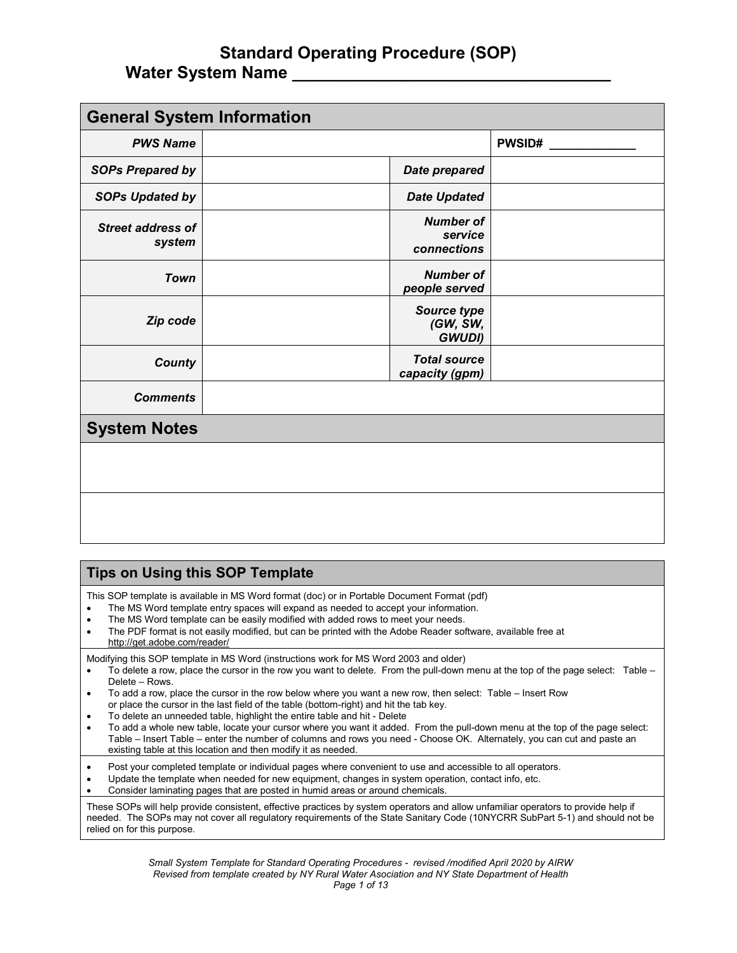| <b>General System Information</b>  |  |                                            |               |  |  |
|------------------------------------|--|--------------------------------------------|---------------|--|--|
| <b>PWS Name</b>                    |  |                                            | <b>PWSID#</b> |  |  |
| <b>SOPs Prepared by</b>            |  | <b>Date prepared</b>                       |               |  |  |
| <b>SOPs Updated by</b>             |  | <b>Date Updated</b>                        |               |  |  |
| <b>Street address of</b><br>system |  | <b>Number of</b><br>service<br>connections |               |  |  |
| <b>Town</b>                        |  | <b>Number of</b><br>people served          |               |  |  |
| Zip code                           |  | Source type<br>(GW, SW,<br><b>GWUDI)</b>   |               |  |  |
| <b>County</b>                      |  | <b>Total source</b><br>capacity (gpm)      |               |  |  |
| <b>Comments</b>                    |  |                                            |               |  |  |
| <b>System Notes</b>                |  |                                            |               |  |  |
|                                    |  |                                            |               |  |  |
|                                    |  |                                            |               |  |  |

#### **Tips on Using this SOP Template**

This SOP template is available in MS Word format (doc) or in Portable Document Format (pdf)

- The MS Word template entry spaces will expand as needed to accept your information.
- The MS Word template can be easily modified with added rows to meet your needs.
- The PDF format is not easily modified, but can be printed with the Adobe Reader software, available free at
- http://get.adobe.com/reader/

Modifying this SOP template in MS Word (instructions work for MS Word 2003 and older)

- To delete a row, place the cursor in the row you want to delete. From the pull-down menu at the top of the page select: Table Delete – Rows.
- To add a row, place the cursor in the row below where you want a new row, then select: Table Insert Row or place the cursor in the last field of the table (bottom-right) and hit the tab key.
- To delete an unneeded table, highlight the entire table and hit Delete
- To add a whole new table, locate your cursor where you want it added. From the pull-down menu at the top of the page select: Table – Insert Table – enter the number of columns and rows you need - Choose OK. Alternately, you can cut and paste an existing table at this location and then modify it as needed.

• Post your completed template or individual pages where convenient to use and accessible to all operators.

- Update the template when needed for new equipment, changes in system operation, contact info, etc.
- Consider laminating pages that are posted in humid areas or around chemicals.

These SOPs will help provide consistent, effective practices by system operators and allow unfamiliar operators to provide help if needed. The SOPs may not cover all regulatory requirements of the State Sanitary Code (10NYCRR SubPart 5-1) and should not be relied on for this purpose.

> *Small System Template for Standard Operating Procedures - revised /modified April 2020 by AIRW Revised from template created by NY Rural Water Asociation and NY State Department of Health Page 1 of 13*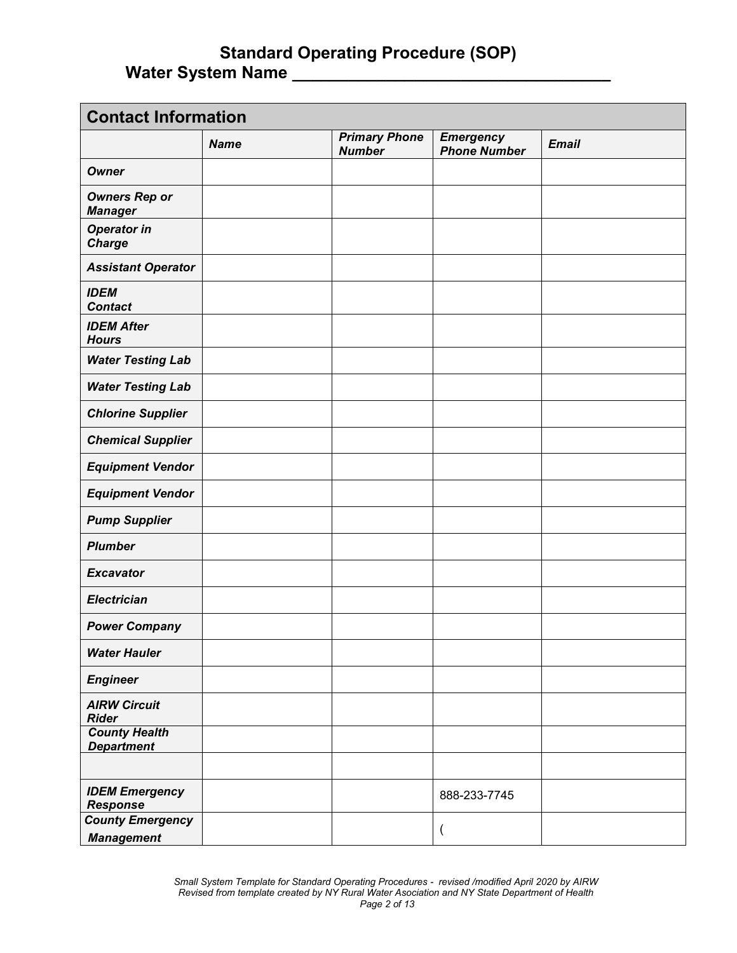| <b>Contact Information</b>                   |             |                                       |                                         |              |  |
|----------------------------------------------|-------------|---------------------------------------|-----------------------------------------|--------------|--|
|                                              | <b>Name</b> | <b>Primary Phone</b><br><b>Number</b> | <b>Emergency</b><br><b>Phone Number</b> | <b>Email</b> |  |
| <b>Owner</b>                                 |             |                                       |                                         |              |  |
| <b>Owners Rep or</b><br><b>Manager</b>       |             |                                       |                                         |              |  |
| <b>Operator in</b><br><b>Charge</b>          |             |                                       |                                         |              |  |
| <b>Assistant Operator</b>                    |             |                                       |                                         |              |  |
| <b>IDEM</b><br><b>Contact</b>                |             |                                       |                                         |              |  |
| <b>IDEM After</b><br><b>Hours</b>            |             |                                       |                                         |              |  |
| <b>Water Testing Lab</b>                     |             |                                       |                                         |              |  |
| <b>Water Testing Lab</b>                     |             |                                       |                                         |              |  |
| <b>Chlorine Supplier</b>                     |             |                                       |                                         |              |  |
| <b>Chemical Supplier</b>                     |             |                                       |                                         |              |  |
| <b>Equipment Vendor</b>                      |             |                                       |                                         |              |  |
| <b>Equipment Vendor</b>                      |             |                                       |                                         |              |  |
| <b>Pump Supplier</b>                         |             |                                       |                                         |              |  |
| <b>Plumber</b>                               |             |                                       |                                         |              |  |
| <b>Excavator</b>                             |             |                                       |                                         |              |  |
| <b>Electrician</b>                           |             |                                       |                                         |              |  |
| <b>Power Company</b>                         |             |                                       |                                         |              |  |
| <b>Water Hauler</b>                          |             |                                       |                                         |              |  |
| <b>Engineer</b>                              |             |                                       |                                         |              |  |
| <b>AIRW Circuit</b><br><b>Rider</b>          |             |                                       |                                         |              |  |
| <b>County Health</b><br><b>Department</b>    |             |                                       |                                         |              |  |
|                                              |             |                                       |                                         |              |  |
| <b>IDEM Emergency</b><br><b>Response</b>     |             |                                       | 888-233-7745                            |              |  |
| <b>County Emergency</b><br><b>Management</b> |             |                                       | $\overline{\mathcal{L}}$                |              |  |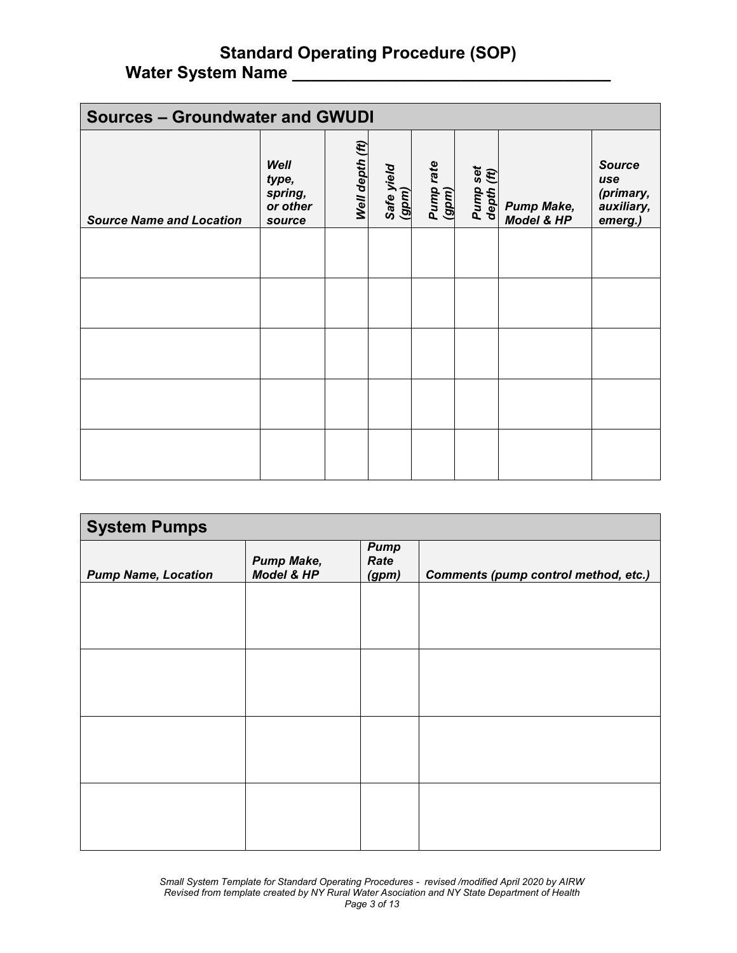| <b>Sources - Groundwater and GWUDI</b> |                                                |                 |                     |                    |                        |                                 |                                                            |
|----------------------------------------|------------------------------------------------|-----------------|---------------------|--------------------|------------------------|---------------------------------|------------------------------------------------------------|
| <b>Source Name and Location</b>        | Well<br>type,<br>spring,<br>or other<br>source | Well depth (ft) | Safe yield<br>(gpm) | Pump rate<br>(gpm) | Pump set<br>depth (ft) | <b>Pump Make,</b><br>Model & HP | <b>Source</b><br>use<br>(primary,<br>auxiliary,<br>emerg.) |
|                                        |                                                |                 |                     |                    |                        |                                 |                                                            |
|                                        |                                                |                 |                     |                    |                        |                                 |                                                            |
|                                        |                                                |                 |                     |                    |                        |                                 |                                                            |
|                                        |                                                |                 |                     |                    |                        |                                 |                                                            |
|                                        |                                                |                 |                     |                    |                        |                                 |                                                            |

| <b>System Pumps</b>        |                                 |                              |                                             |  |  |
|----------------------------|---------------------------------|------------------------------|---------------------------------------------|--|--|
| <b>Pump Name, Location</b> | <b>Pump Make,</b><br>Model & HP | <b>Pump</b><br>Rate<br>(gpm) | <b>Comments (pump control method, etc.)</b> |  |  |
|                            |                                 |                              |                                             |  |  |
|                            |                                 |                              |                                             |  |  |
|                            |                                 |                              |                                             |  |  |
|                            |                                 |                              |                                             |  |  |
|                            |                                 |                              |                                             |  |  |
|                            |                                 |                              |                                             |  |  |
|                            |                                 |                              |                                             |  |  |
|                            |                                 |                              |                                             |  |  |
|                            |                                 |                              |                                             |  |  |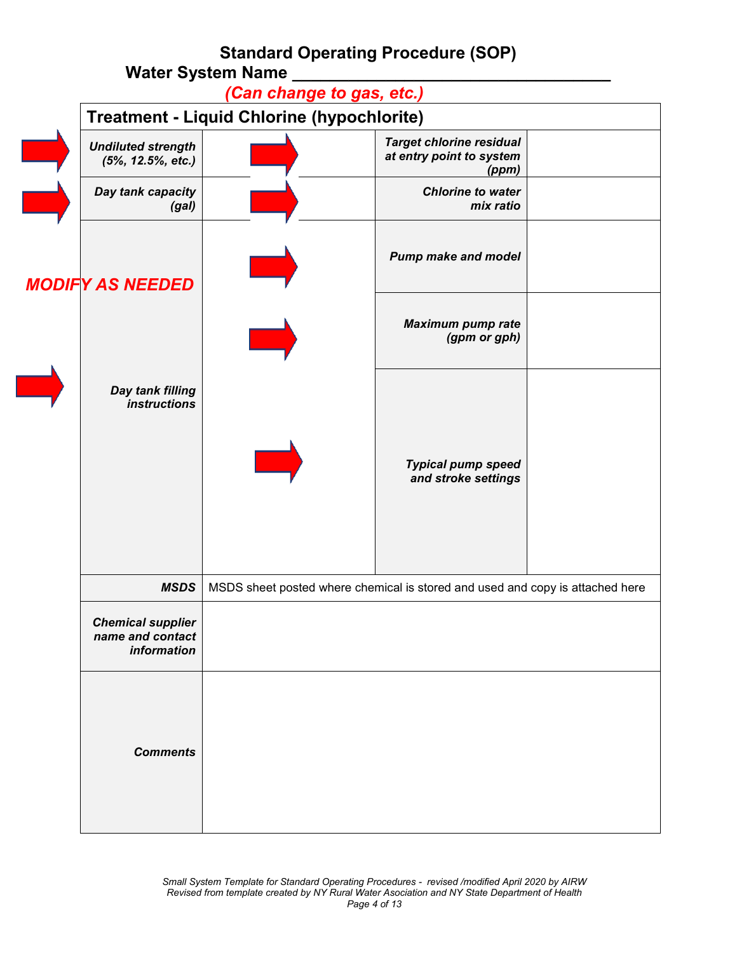|                                                             | mala oyəlan nama<br>(Can change to gas, etc.)                                 |                                                                      |  |  |  |  |
|-------------------------------------------------------------|-------------------------------------------------------------------------------|----------------------------------------------------------------------|--|--|--|--|
| Treatment - Liquid Chlorine (hypochlorite)                  |                                                                               |                                                                      |  |  |  |  |
| <b>Undiluted strength</b><br>(5%, 12.5%, etc.)              |                                                                               | <b>Target chlorine residual</b><br>at entry point to system<br>(ppm) |  |  |  |  |
| Day tank capacity<br>(gal)                                  |                                                                               | <b>Chlorine to water</b><br>mix ratio                                |  |  |  |  |
| <b>MODIFY AS NEEDED</b>                                     |                                                                               | <b>Pump make and model</b>                                           |  |  |  |  |
|                                                             |                                                                               | <b>Maximum pump rate</b><br>(gpm or gph)                             |  |  |  |  |
| Day tank filling<br><i>instructions</i>                     |                                                                               |                                                                      |  |  |  |  |
|                                                             |                                                                               | <b>Typical pump speed</b><br>and stroke settings                     |  |  |  |  |
|                                                             |                                                                               |                                                                      |  |  |  |  |
| <b>MSDS</b>                                                 | MSDS sheet posted where chemical is stored and used and copy is attached here |                                                                      |  |  |  |  |
| <b>Chemical supplier</b><br>name and contact<br>information |                                                                               |                                                                      |  |  |  |  |
| <b>Comments</b>                                             |                                                                               |                                                                      |  |  |  |  |

 $\overline{\phantom{a}}$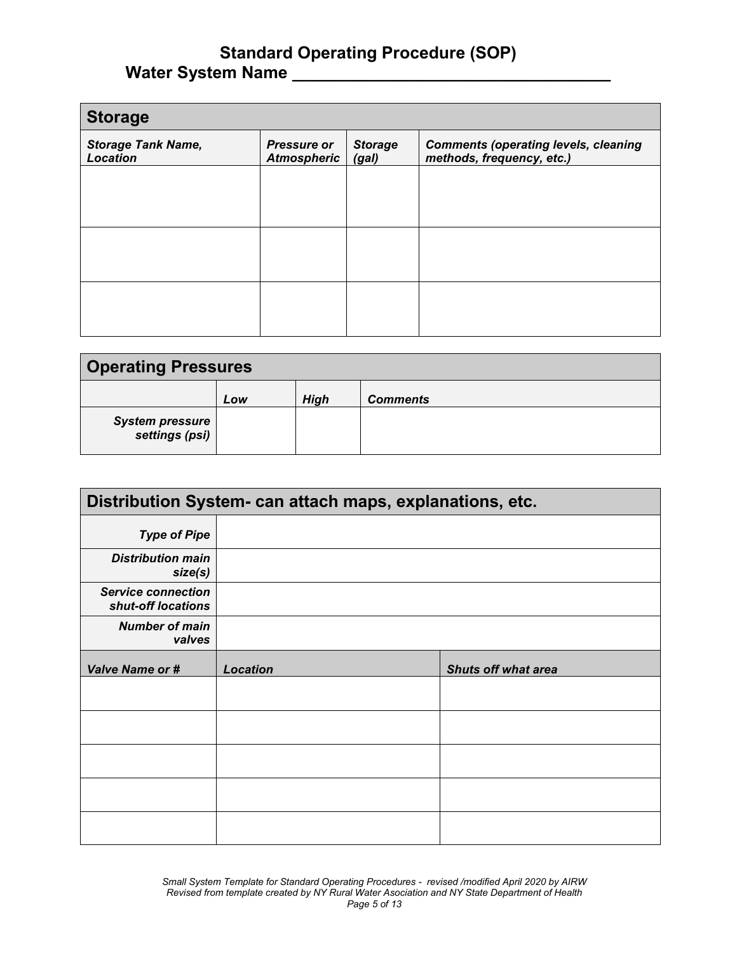| <b>Storage</b>                               |                                          |                         |                                                                          |
|----------------------------------------------|------------------------------------------|-------------------------|--------------------------------------------------------------------------|
| <b>Storage Tank Name,</b><br><b>Location</b> | <b>Pressure or</b><br><b>Atmospheric</b> | <b>Storage</b><br>(gal) | <b>Comments (operating levels, cleaning</b><br>methods, frequency, etc.) |
|                                              |                                          |                         |                                                                          |
|                                              |                                          |                         |                                                                          |
|                                              |                                          |                         |                                                                          |
|                                              |                                          |                         |                                                                          |
|                                              |                                          |                         |                                                                          |
|                                              |                                          |                         |                                                                          |

| <b>Operating Pressures</b>               |     |             |                 |  |  |
|------------------------------------------|-----|-------------|-----------------|--|--|
|                                          | Low | <b>High</b> | <b>Comments</b> |  |  |
| <b>System pressure</b><br>settings (psi) |     |             |                 |  |  |

| Distribution System- can attach maps, explanations, etc. |                 |                            |  |  |
|----------------------------------------------------------|-----------------|----------------------------|--|--|
| <b>Type of Pipe</b>                                      |                 |                            |  |  |
| <b>Distribution main</b><br>size(s)                      |                 |                            |  |  |
| <b>Service connection</b><br>shut-off locations          |                 |                            |  |  |
| <b>Number of main</b><br>valves                          |                 |                            |  |  |
| <b>Valve Name or #</b>                                   | <b>Location</b> | <b>Shuts off what area</b> |  |  |
|                                                          |                 |                            |  |  |
|                                                          |                 |                            |  |  |
|                                                          |                 |                            |  |  |
|                                                          |                 |                            |  |  |
|                                                          |                 |                            |  |  |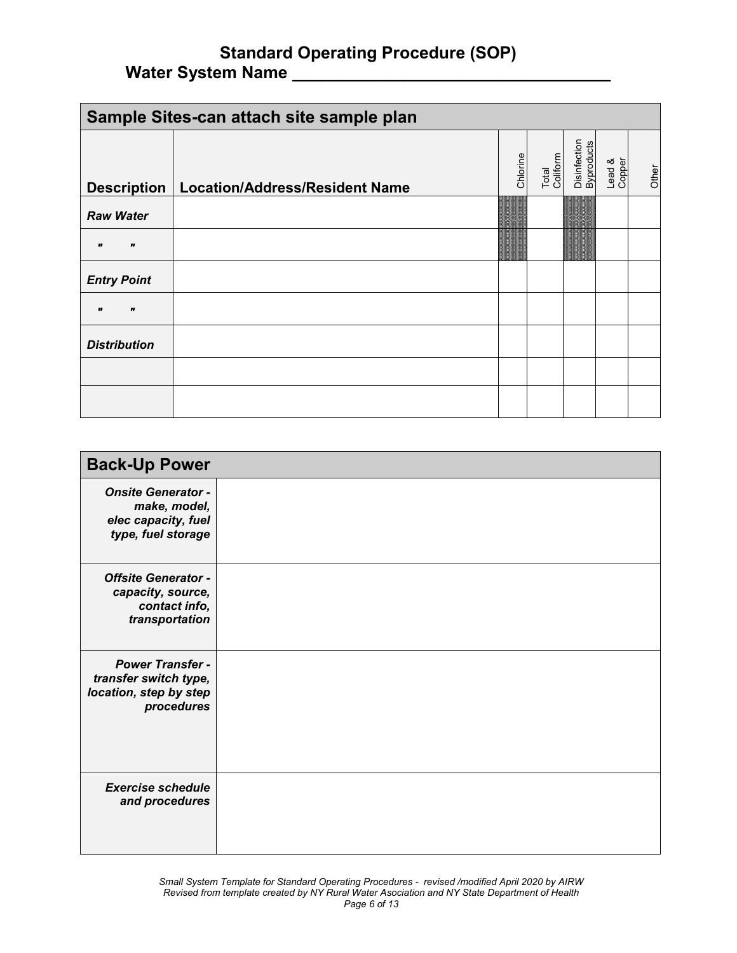| Sample Sites-can attach site sample plan |                                       |          |                   |                            |                  |       |
|------------------------------------------|---------------------------------------|----------|-------------------|----------------------------|------------------|-------|
| <b>Description</b>                       | <b>Location/Address/Resident Name</b> | Chlorine | Total<br>Coliform | Disinfection<br>Byproducts | Lead &<br>Copper | Other |
| <b>Raw Water</b>                         |                                       |          |                   |                            |                  |       |
| $\mathbf{r}$                             |                                       |          |                   |                            |                  |       |
| <b>Entry Point</b>                       |                                       |          |                   |                            |                  |       |
| "                                        |                                       |          |                   |                            |                  |       |
| <b>Distribution</b>                      |                                       |          |                   |                            |                  |       |
|                                          |                                       |          |                   |                            |                  |       |
|                                          |                                       |          |                   |                            |                  |       |

| <b>Back-Up Power</b>                                                                     |  |
|------------------------------------------------------------------------------------------|--|
| <b>Onsite Generator -</b><br>make, model,<br>elec capacity, fuel<br>type, fuel storage   |  |
| <b>Offsite Generator -</b><br>capacity, source,<br>contact info,<br>transportation       |  |
| <b>Power Transfer -</b><br>transfer switch type,<br>location, step by step<br>procedures |  |
| <b>Exercise schedule</b><br>and procedures                                               |  |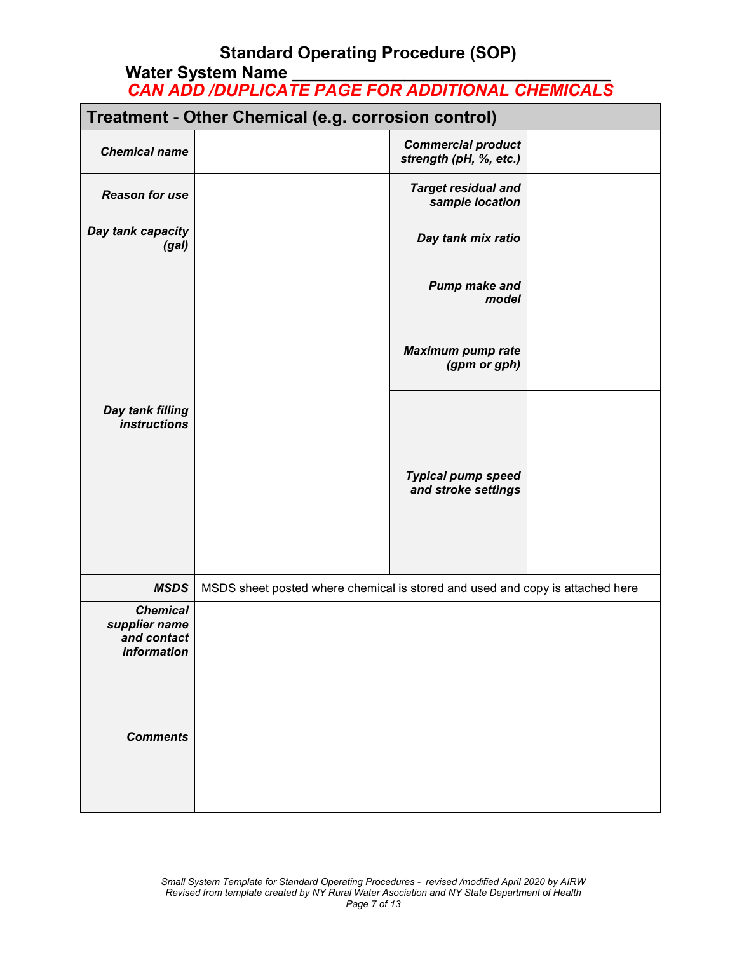# **Standard Operating Procedure (SOP)**

### **Water System Name \_\_\_\_\_\_\_\_\_\_\_\_\_\_\_\_\_\_\_\_\_\_\_\_\_\_\_\_\_\_\_\_\_\_** *CAN ADD /DUPLICATE PAGE FOR ADDITIONAL CHEMICALS*

|                                                                | Treatment - Other Chemical (e.g. corrosion control)                           |                                                     |  |  |  |
|----------------------------------------------------------------|-------------------------------------------------------------------------------|-----------------------------------------------------|--|--|--|
| <b>Chemical name</b>                                           |                                                                               | <b>Commercial product</b><br>strength (pH, %, etc.) |  |  |  |
| <b>Reason for use</b>                                          |                                                                               | <b>Target residual and</b><br>sample location       |  |  |  |
| Day tank capacity<br>(gal)                                     |                                                                               | Day tank mix ratio                                  |  |  |  |
|                                                                |                                                                               | <b>Pump make and</b><br>model                       |  |  |  |
|                                                                |                                                                               | <b>Maximum pump rate</b><br>(gpm or gph)            |  |  |  |
| Day tank filling<br><i>instructions</i>                        |                                                                               | <b>Typical pump speed</b><br>and stroke settings    |  |  |  |
| <b>MSDS</b>                                                    | MSDS sheet posted where chemical is stored and used and copy is attached here |                                                     |  |  |  |
| <b>Chemical</b><br>supplier name<br>and contact<br>information |                                                                               |                                                     |  |  |  |
| <b>Comments</b>                                                |                                                                               |                                                     |  |  |  |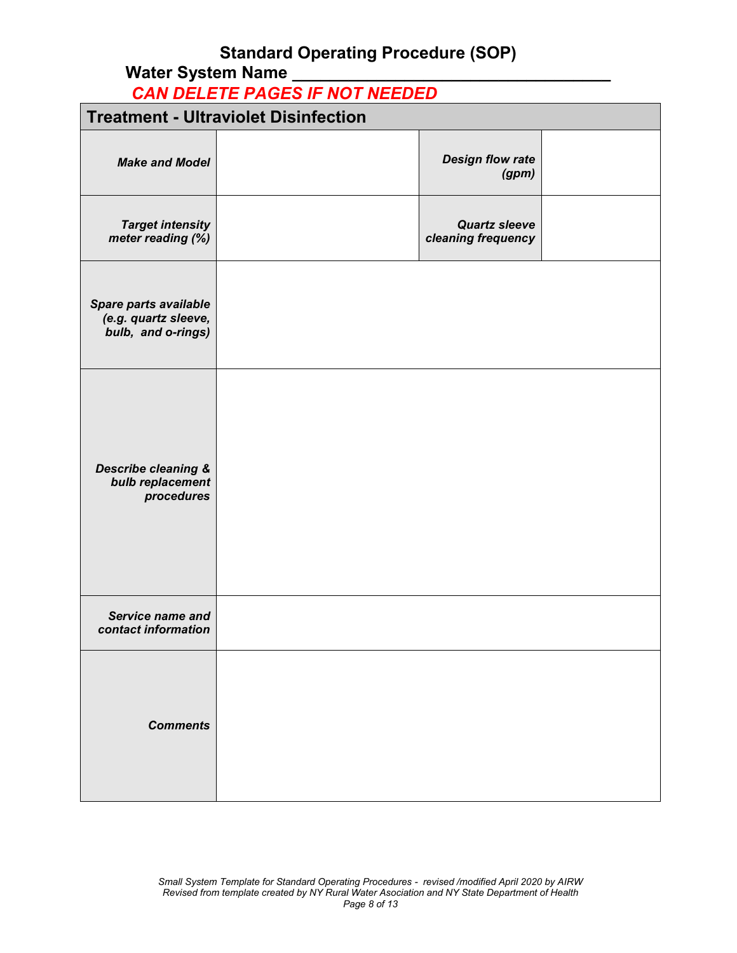## **Standard Operating Procedure (SOP)**

## Water System Name

*CAN DELETE PAGES IF NOT NEEDED*

| <b>Treatment - Ultraviolet Disinfection</b>                         |  |                                            |  |  |  |
|---------------------------------------------------------------------|--|--------------------------------------------|--|--|--|
| <b>Make and Model</b>                                               |  | <b>Design flow rate</b><br>(gpm)           |  |  |  |
| <b>Target intensity</b><br>meter reading (%)                        |  | <b>Quartz sleeve</b><br>cleaning frequency |  |  |  |
| Spare parts available<br>(e.g. quartz sleeve,<br>bulb, and o-rings) |  |                                            |  |  |  |
| <b>Describe cleaning &amp;</b><br>bulb replacement<br>procedures    |  |                                            |  |  |  |
| Service name and<br>contact information                             |  |                                            |  |  |  |
| <b>Comments</b>                                                     |  |                                            |  |  |  |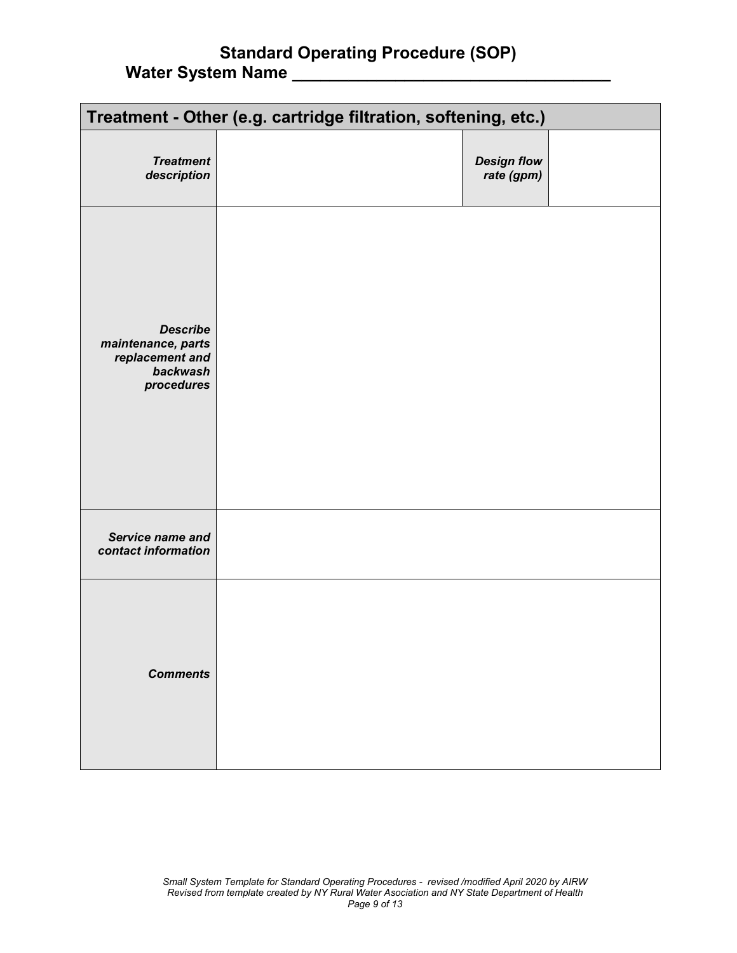|                                                                                    | Treatment - Other (e.g. cartridge filtration, softening, etc.) |                                  |  |  |  |  |  |  |  |  |  |  |
|------------------------------------------------------------------------------------|----------------------------------------------------------------|----------------------------------|--|--|--|--|--|--|--|--|--|--|
| <b>Treatment</b><br>description                                                    |                                                                | <b>Design flow</b><br>rate (gpm) |  |  |  |  |  |  |  |  |  |  |
| <b>Describe</b><br>maintenance, parts<br>replacement and<br>backwash<br>procedures |                                                                |                                  |  |  |  |  |  |  |  |  |  |  |
| Service name and<br>contact information                                            |                                                                |                                  |  |  |  |  |  |  |  |  |  |  |
| <b>Comments</b>                                                                    |                                                                |                                  |  |  |  |  |  |  |  |  |  |  |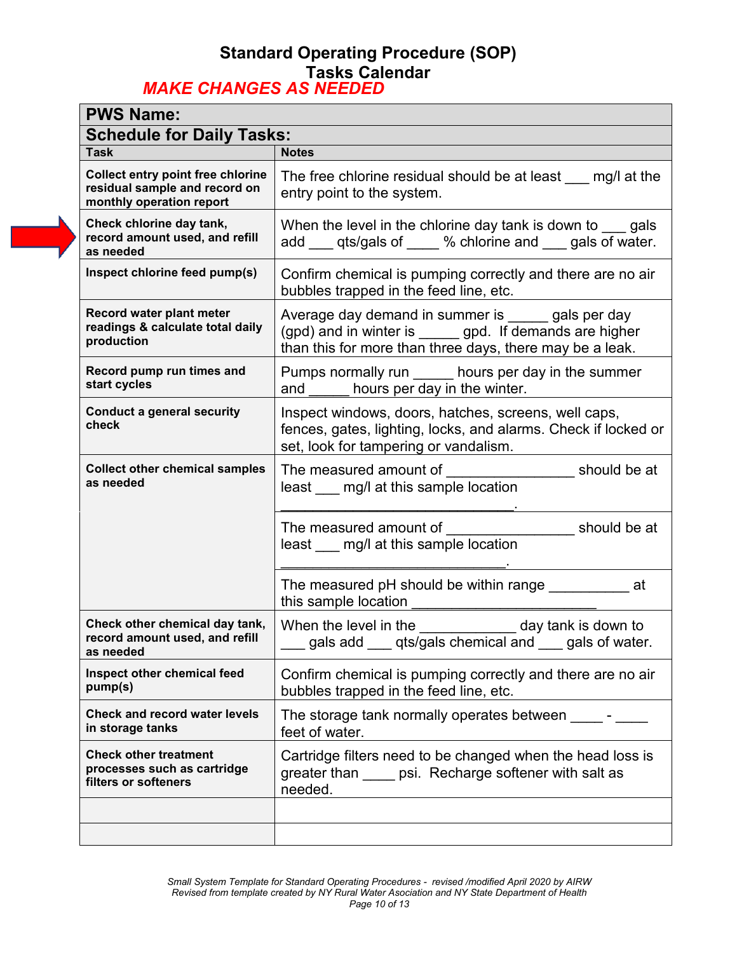### **Standard Operating Procedure (SOP) Tasks Calendar** *MAKE CHANGES AS NEEDED*

| <b>PWS Name:</b>                                                                                      |                                                                                                                                                                                  |
|-------------------------------------------------------------------------------------------------------|----------------------------------------------------------------------------------------------------------------------------------------------------------------------------------|
| <b>Schedule for Daily Tasks:</b>                                                                      |                                                                                                                                                                                  |
| <b>Task</b>                                                                                           | <b>Notes</b>                                                                                                                                                                     |
| <b>Collect entry point free chlorine</b><br>residual sample and record on<br>monthly operation report | The free chlorine residual should be at least $mg/l$ at the<br>entry point to the system.                                                                                        |
| Check chlorine day tank,<br>record amount used, and refill<br>as needed                               | When the level in the chlorine day tank is down to gals<br>add ___ qts/gals of ____ % chlorine and ___ gals of water.                                                            |
| Inspect chlorine feed pump(s)                                                                         | Confirm chemical is pumping correctly and there are no air<br>bubbles trapped in the feed line, etc.                                                                             |
| Record water plant meter<br>readings & calculate total daily<br>production                            | Average day demand in summer is secondulery gals per day<br>(gpd) and in winter is ______ gpd. If demands are higher<br>than this for more than three days, there may be a leak. |
| Record pump run times and<br>start cycles                                                             | Pumps normally run ______ hours per day in the summer<br>and hours per day in the winter.                                                                                        |
| <b>Conduct a general security</b><br>check                                                            | Inspect windows, doors, hatches, screens, well caps,<br>fences, gates, lighting, locks, and alarms. Check if locked or<br>set, look for tampering or vandalism.                  |
| <b>Collect other chemical samples</b><br>as needed                                                    | The measured amount of<br>should be at<br>least ___ mg/l at this sample location                                                                                                 |
|                                                                                                       | The measured amount of<br>should be at<br>least ___ mg/l at this sample location                                                                                                 |
|                                                                                                       | The measured pH should be within range<br>at<br>this sample location                                                                                                             |
| Check other chemical day tank,<br>record amount used, and refill<br>as needed                         | When the level in the $\sqrt{2}$ day tank is down to<br>gals add ___ qts/gals chemical and ___ gals of water.                                                                    |
| Inspect other chemical feed<br>pump(s)                                                                | Confirm chemical is pumping correctly and there are no air<br>bubbles trapped in the feed line, etc.                                                                             |
| <b>Check and record water levels</b><br>in storage tanks                                              | The storage tank normally operates between ______-<br>feet of water.                                                                                                             |
| <b>Check other treatment</b><br>processes such as cartridge<br>filters or softeners                   | Cartridge filters need to be changed when the head loss is<br>greater than _____ psi. Recharge softener with salt as<br>needed.                                                  |
|                                                                                                       |                                                                                                                                                                                  |
|                                                                                                       |                                                                                                                                                                                  |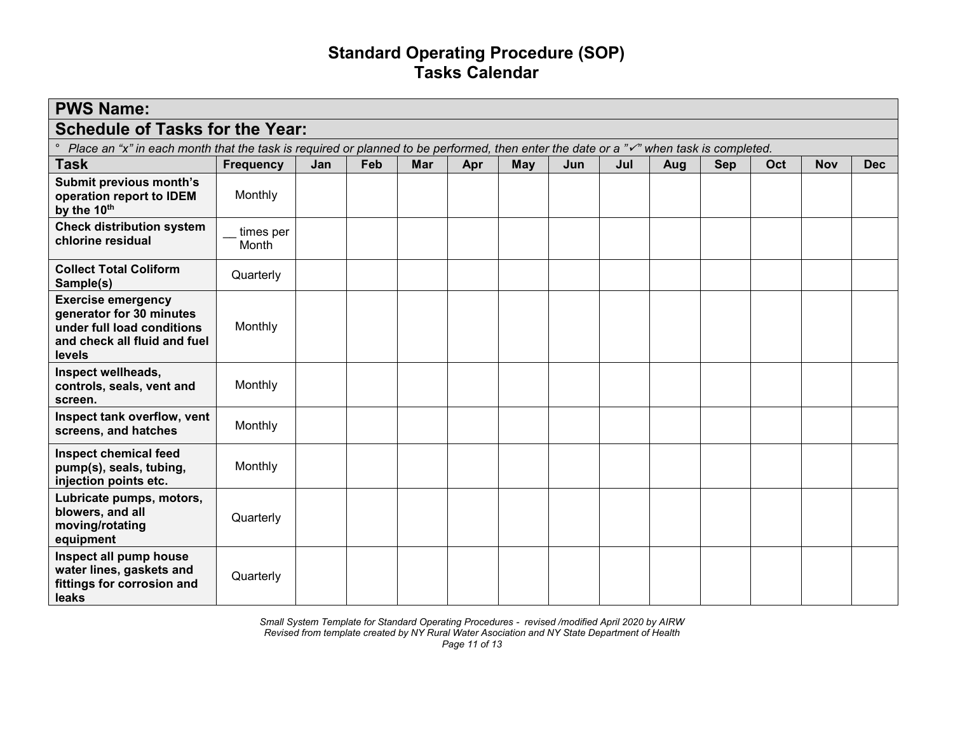## **Standard Operating Procedure (SOP) Tasks Calendar**

| <b>PWS Name:</b>                                                                                                                                              |                    |     |     |            |     |            |     |     |     |            |     |            |            |
|---------------------------------------------------------------------------------------------------------------------------------------------------------------|--------------------|-----|-----|------------|-----|------------|-----|-----|-----|------------|-----|------------|------------|
| <b>Schedule of Tasks for the Year:</b>                                                                                                                        |                    |     |     |            |     |            |     |     |     |            |     |            |            |
| $\circ$<br>Place an "x" in each month that the task is required or planned to be performed, then enter the date or a " $\checkmark$ " when task is completed. |                    |     |     |            |     |            |     |     |     |            |     |            |            |
| <b>Task</b>                                                                                                                                                   | <b>Frequency</b>   | Jan | Feb | <b>Mar</b> | Apr | <b>May</b> | Jun | Jul | Aug | <b>Sep</b> | Oct | <b>Nov</b> | <b>Dec</b> |
| Submit previous month's<br>operation report to IDEM<br>by the 10th                                                                                            | Monthly            |     |     |            |     |            |     |     |     |            |     |            |            |
| <b>Check distribution system</b><br>chlorine residual                                                                                                         | times per<br>Month |     |     |            |     |            |     |     |     |            |     |            |            |
| <b>Collect Total Coliform</b><br>Sample(s)                                                                                                                    | Quarterly          |     |     |            |     |            |     |     |     |            |     |            |            |
| <b>Exercise emergency</b><br>generator for 30 minutes<br>under full load conditions<br>and check all fluid and fuel<br>levels                                 | Monthly            |     |     |            |     |            |     |     |     |            |     |            |            |
| Inspect wellheads,<br>controls, seals, vent and<br>screen.                                                                                                    | Monthly            |     |     |            |     |            |     |     |     |            |     |            |            |
| Inspect tank overflow, vent<br>screens, and hatches                                                                                                           | Monthly            |     |     |            |     |            |     |     |     |            |     |            |            |
| <b>Inspect chemical feed</b><br>pump(s), seals, tubing,<br>injection points etc.                                                                              | Monthly            |     |     |            |     |            |     |     |     |            |     |            |            |
| Lubricate pumps, motors,<br>blowers, and all<br>moving/rotating<br>equipment                                                                                  | Quarterly          |     |     |            |     |            |     |     |     |            |     |            |            |
| Inspect all pump house<br>water lines, gaskets and<br>fittings for corrosion and<br>leaks                                                                     | Quarterly          |     |     |            |     |            |     |     |     |            |     |            |            |

*Small System Template for Standard Operating Procedures - revised /modified April 2020 by AIRW Revised from template created by NY Rural Water Asociation and NY State Department of Health*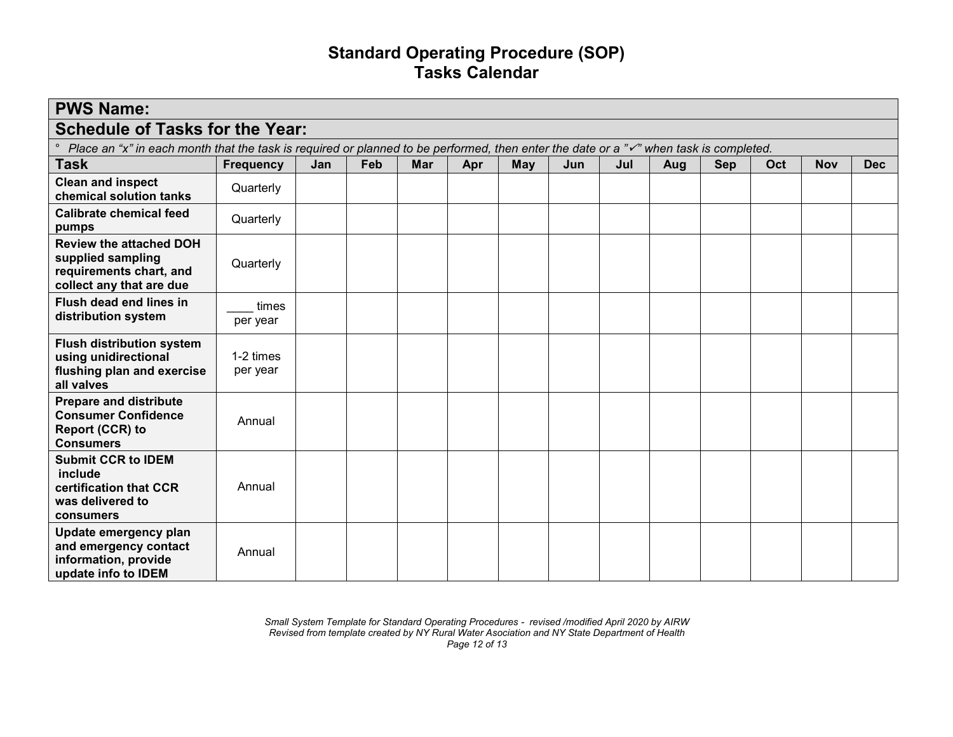## **Standard Operating Procedure (SOP) Tasks Calendar**

| <b>PWS Name:</b>                                                                                                                                              |                       |     |     |            |     |     |     |     |     |     |     |            |            |
|---------------------------------------------------------------------------------------------------------------------------------------------------------------|-----------------------|-----|-----|------------|-----|-----|-----|-----|-----|-----|-----|------------|------------|
| <b>Schedule of Tasks for the Year:</b>                                                                                                                        |                       |     |     |            |     |     |     |     |     |     |     |            |            |
| $\circ$<br>Place an "x" in each month that the task is required or planned to be performed, then enter the date or a " $\checkmark$ " when task is completed. |                       |     |     |            |     |     |     |     |     |     |     |            |            |
| <b>Task</b>                                                                                                                                                   | <b>Frequency</b>      | Jan | Feb | <b>Mar</b> | Apr | May | Jun | Jul | Aug | Sep | Oct | <b>Nov</b> | <b>Dec</b> |
| <b>Clean and inspect</b><br>chemical solution tanks                                                                                                           | Quarterly             |     |     |            |     |     |     |     |     |     |     |            |            |
| <b>Calibrate chemical feed</b><br>pumps                                                                                                                       | Quarterly             |     |     |            |     |     |     |     |     |     |     |            |            |
| <b>Review the attached DOH</b><br>supplied sampling<br>requirements chart, and<br>collect any that are due                                                    | Quarterly             |     |     |            |     |     |     |     |     |     |     |            |            |
| Flush dead end lines in<br>distribution system                                                                                                                | times<br>per year     |     |     |            |     |     |     |     |     |     |     |            |            |
| <b>Flush distribution system</b><br>using unidirectional<br>flushing plan and exercise<br>all valves                                                          | 1-2 times<br>per year |     |     |            |     |     |     |     |     |     |     |            |            |
| <b>Prepare and distribute</b><br><b>Consumer Confidence</b><br>Report (CCR) to<br><b>Consumers</b>                                                            | Annual                |     |     |            |     |     |     |     |     |     |     |            |            |
| <b>Submit CCR to IDEM</b><br>include<br>certification that CCR<br>was delivered to<br>consumers                                                               | Annual                |     |     |            |     |     |     |     |     |     |     |            |            |
| Update emergency plan<br>and emergency contact<br>information, provide<br>update info to IDEM                                                                 | Annual                |     |     |            |     |     |     |     |     |     |     |            |            |

*Small System Template for Standard Operating Procedures - revised /modified April 2020 by AIRW Revised from template created by NY Rural Water Asociation and NY State Department of Health Page 12 of 13*